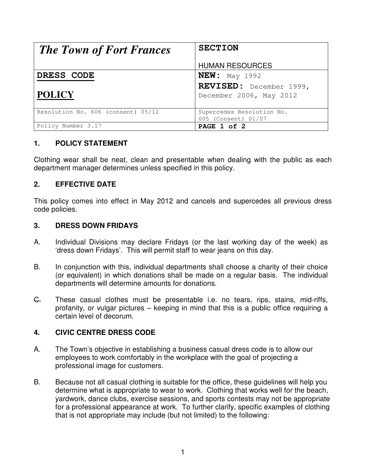| <b>The Town of Fort Frances</b>    | <b>SECTION</b>                                     |
|------------------------------------|----------------------------------------------------|
|                                    | <b>HUMAN RESOURCES</b>                             |
| DRESS CODE                         | $NEW:$ May 1992                                    |
| <b>POLICY</b>                      | REVISED: December 1999,<br>December 2006, May 2012 |
| Resolution No. 606 (consent) 05/12 | Supercedes Resolution No.<br>005 (Consent) 01/07   |
| Policy Number 3.17                 | PAGE 1 of 2                                        |

## **1. POLICY STATEMENT**

Clothing wear shall be neat, clean and presentable when dealing with the public as each department manager determines unless specified in this policy.

## **2. EFFECTIVE DATE**

This policy comes into effect in May 2012 and cancels and supercedes all previous dress code policies.

#### **3. DRESS DOWN FRIDAYS**

- A. Individual Divisions may declare Fridays (or the last working day of the week) as 'dress down Fridays'. This will permit staff to wear jeans on this day.
- B. In conjunction with this, individual departments shall choose a charity of their choice (or equivalent) in which donations shall be made on a regular basis. The individual departments will determine amounts for donations.
- G. These casual clothes must be presentable i.e. no tears, rips, stains, mid-riffs, profanity, or vulgar pictures – keeping in mind that this is a public office requiring a certain level of decorum.

## **4. CIVIC CENTRE DRESS CODE**

- A. The Town's objective in establishing a business casual dress code is to allow our employees to work comfortably in the workplace with the goal of projecting a professional image for customers.
- B. Because not all casual clothing is suitable for the office, these guidelines will help you determine what is appropriate to wear to work. Clothing that works well for the beach, yardwork, dance clubs, exercise sessions, and sports contests may not be appropriate for a professional appearance at work. To further clarify, specific examples of clothing that is not appropriate may include (but not limited) to the following: